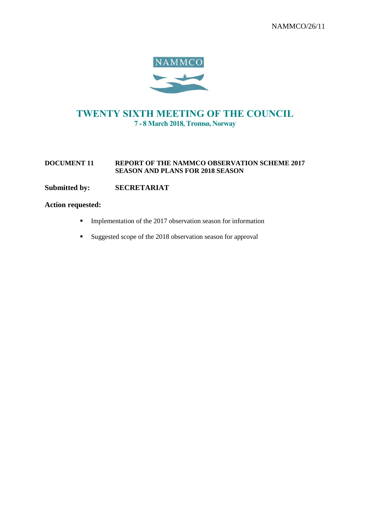

# TWENTY SIXTH MEETING OF THE COUNCIL 7 - 8 March 2018, Tromsø, Norway

#### **DOCUMENT 11 REPORT OF THE NAMMCO OBSERVATION SCHEME 2017 SEASON AND PLANS FOR 2018 SEASON**

# **Submitted by: SECRETARIAT**

#### **Action requested:**

- **•** Implementation of the 2017 observation season for information
- Suggested scope of the 2018 observation season for approval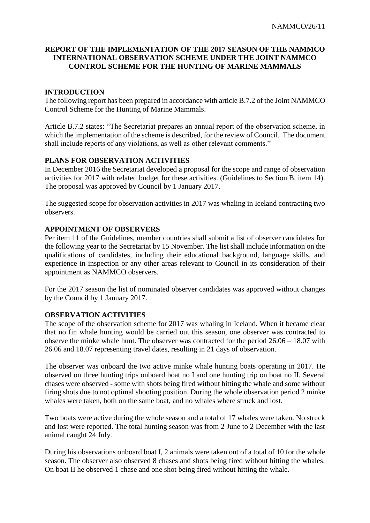## **REPORT OF THE IMPLEMENTATION OF THE 2017 SEASON OF THE NAMMCO INTERNATIONAL OBSERVATION SCHEME UNDER THE JOINT NAMMCO CONTROL SCHEME FOR THE HUNTING OF MARINE MAMMALS**

## **INTRODUCTION**

The following report has been prepared in accordance with article B.7.2 of the Joint NAMMCO Control Scheme for the Hunting of Marine Mammals.

Article B.7.2 states: "The Secretariat prepares an annual report of the observation scheme, in which the implementation of the scheme is described, for the review of Council. The document shall include reports of any violations, as well as other relevant comments."

## **PLANS FOR OBSERVATION ACTIVITIES**

In December 2016 the Secretariat developed a proposal for the scope and range of observation activities for 2017 with related budget for these activities. (Guidelines to Section B, item 14). The proposal was approved by Council by 1 January 2017.

The suggested scope for observation activities in 2017 was whaling in Iceland contracting two observers.

## **APPOINTMENT OF OBSERVERS**

Per item 11 of the Guidelines, member countries shall submit a list of observer candidates for the following year to the Secretariat by 15 November. The list shall include information on the qualifications of candidates, including their educational background, language skills, and experience in inspection or any other areas relevant to Council in its consideration of their appointment as NAMMCO observers.

For the 2017 season the list of nominated observer candidates was approved without changes by the Council by 1 January 2017.

### **OBSERVATION ACTIVITIES**

The scope of the observation scheme for 2017 was whaling in Iceland. When it became clear that no fin whale hunting would be carried out this season, one observer was contracted to observe the minke whale hunt. The observer was contracted for the period 26.06 – 18.07 with 26.06 and 18.07 representing travel dates, resulting in 21 days of observation.

The observer was onboard the two active minke whale hunting boats operating in 2017. He observed on three hunting trips onboard boat no I and one hunting trip on boat no II. Several chases were observed - some with shots being fired without hitting the whale and some without firing shots due to not optimal shooting position. During the whole observation period 2 minke whales were taken, both on the same boat, and no whales where struck and lost.

Two boats were active during the whole season and a total of 17 whales were taken. No struck and lost were reported. The total hunting season was from 2 June to 2 December with the last animal caught 24 July.

During his observations onboard boat I, 2 animals were taken out of a total of 10 for the whole season. The observer also observed 8 chases and shots being fired without hitting the whales. On boat II he observed 1 chase and one shot being fired without hitting the whale.